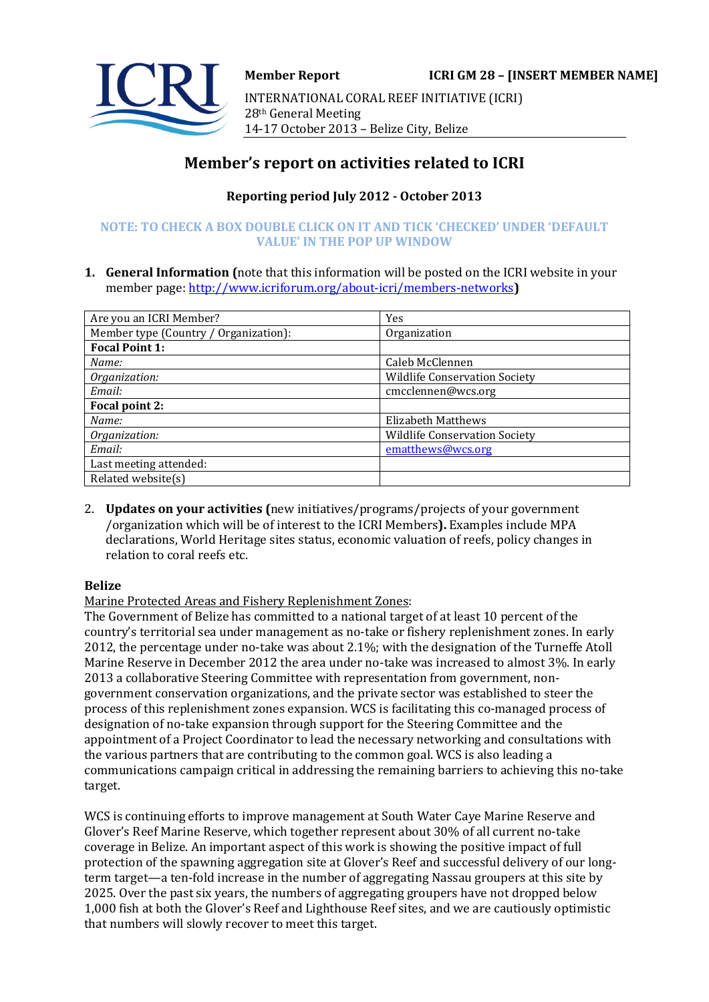

INTERNATIONAL CORAL REEF INITIATIVE (ICRI) 28th General Meeting 14-17 October 2013 – Belize City, Belize

# **Member's report on activities related to ICRI**

# **Reporting period July 2012 - October 2013**

# **NOTE: TO CHECK A BOX DOUBLE CLICK ON IT AND TICK 'CHECKED' UNDER 'DEFAULT VALUE' IN THE POP UP WINDOW**

**1. General Information (**note that this information will be posted on the ICRI website in your member page[: http://www.icriforum.org/about-icri/members-networks](http://www.icriforum.org/about-icri/members-networks)**)** 

| Are you an ICRI Member?               | Yes                                  |
|---------------------------------------|--------------------------------------|
| Member type (Country / Organization): | Organization                         |
| <b>Focal Point 1:</b>                 |                                      |
| Name:                                 | Caleb McClennen                      |
| Organization:                         | <b>Wildlife Conservation Society</b> |
| Email:                                | cmcclennen@wcs.org                   |
| Focal point 2:                        |                                      |
| Name:                                 | <b>Elizabeth Matthews</b>            |
| Organization:                         | <b>Wildlife Conservation Society</b> |
| Email:                                | ematthews@wcs.org                    |
| Last meeting attended:                |                                      |
| Related website(s)                    |                                      |

2. **Updates on your activities (**new initiatives/programs/projects of your government /organization which will be of interest to the ICRI Members**).** Examples include MPA declarations, World Heritage sites status, economic valuation of reefs, policy changes in relation to coral reefs etc.

# **Belize**

Marine Protected Areas and Fishery Replenishment Zones:

The Government of Belize has committed to a national target of at least 10 percent of the country's territorial sea under management as no-take or fishery replenishment zones. In early 2012, the percentage under no-take was about 2.1%; with the designation of the Turneffe Atoll Marine Reserve in December 2012 the area under no-take was increased to almost 3%. In early 2013 a collaborative Steering Committee with representation from government, nongovernment conservation organizations, and the private sector was established to steer the process of this replenishment zones expansion. WCS is facilitating this co-managed process of designation of no-take expansion through support for the Steering Committee and the appointment of a Project Coordinator to lead the necessary networking and consultations with the various partners that are contributing to the common goal. WCS is also leading a communications campaign critical in addressing the remaining barriers to achieving this no-take target.

WCS is continuing efforts to improve management at South Water Caye Marine Reserve and Glover's Reef Marine Reserve, which together represent about 30% of all current no-take coverage in Belize. An important aspect of this work is showing the positive impact of full protection of the spawning aggregation site at Glover's Reef and successful delivery of our longterm target—a ten-fold increase in the number of aggregating Nassau groupers at this site by 2025. Over the past six years, the numbers of aggregating groupers have not dropped below 1,000 fish at both the Glover's Reef and Lighthouse Reef sites, and we are cautiously optimistic that numbers will slowly recover to meet this target.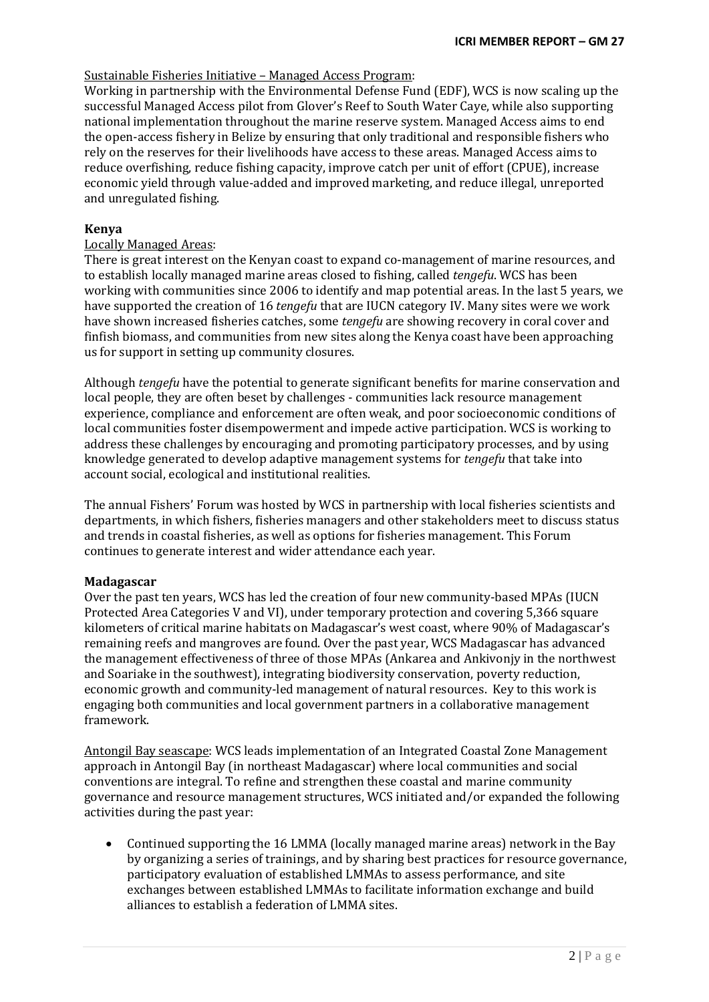### Sustainable Fisheries Initiative – Managed Access Program:

Working in partnership with the Environmental Defense Fund (EDF), WCS is now scaling up the successful Managed Access pilot from Glover's Reef to South Water Caye, while also supporting national implementation throughout the marine reserve system. Managed Access aims to end the open-access fishery in Belize by ensuring that only traditional and responsible fishers who rely on the reserves for their livelihoods have access to these areas. Managed Access aims to reduce overfishing, reduce fishing capacity, improve catch per unit of effort (CPUE), increase economic yield through value-added and improved marketing, and reduce illegal, unreported and unregulated fishing.

### **Kenya**

# Locally Managed Areas:

There is great interest on the Kenyan coast to expand co-management of marine resources, and to establish locally managed marine areas closed to fishing, called *tengefu*. WCS has been working with communities since 2006 to identify and map potential areas. In the last 5 years, we have supported the creation of 16 *tengefu* that are IUCN category IV. Many sites were we work have shown increased fisheries catches, some *tengefu* are showing recovery in coral cover and finfish biomass, and communities from new sites along the Kenya coast have been approaching us for support in setting up community closures.

Although *tengefu* have the potential to generate significant benefits for marine conservation and local people, they are often beset by challenges - communities lack resource management experience, compliance and enforcement are often weak, and poor socioeconomic conditions of local communities foster disempowerment and impede active participation. WCS is working to address these challenges by encouraging and promoting participatory processes, and by using knowledge generated to develop adaptive management systems for *tengefu* that take into account social, ecological and institutional realities.

The annual Fishers' Forum was hosted by WCS in partnership with local fisheries scientists and departments, in which fishers, fisheries managers and other stakeholders meet to discuss status and trends in coastal fisheries, as well as options for fisheries management. This Forum continues to generate interest and wider attendance each year.

#### **Madagascar**

Over the past ten years, WCS has led the creation of four new community-based MPAs (IUCN Protected Area Categories V and VI), under temporary protection and covering 5,366 square kilometers of critical marine habitats on Madagascar's west coast, where 90% of Madagascar's remaining reefs and mangroves are found. Over the past year, WCS Madagascar has advanced the management effectiveness of three of those MPAs (Ankarea and Ankivonjy in the northwest and Soariake in the southwest), integrating biodiversity conservation, poverty reduction, economic growth and community-led management of natural resources. Key to this work is engaging both communities and local government partners in a collaborative management framework.

Antongil Bay seascape: WCS leads implementation of an Integrated Coastal Zone Management approach in Antongil Bay (in northeast Madagascar) where local communities and social conventions are integral. To refine and strengthen these coastal and marine community governance and resource management structures, WCS initiated and/or expanded the following activities during the past year:

• Continued supporting the 16 LMMA (locally managed marine areas) network in the Bay by organizing a series of trainings, and by sharing best practices for resource governance, participatory evaluation of established LMMAs to assess performance, and site exchanges between established LMMAs to facilitate information exchange and build alliances to establish a federation of LMMA sites.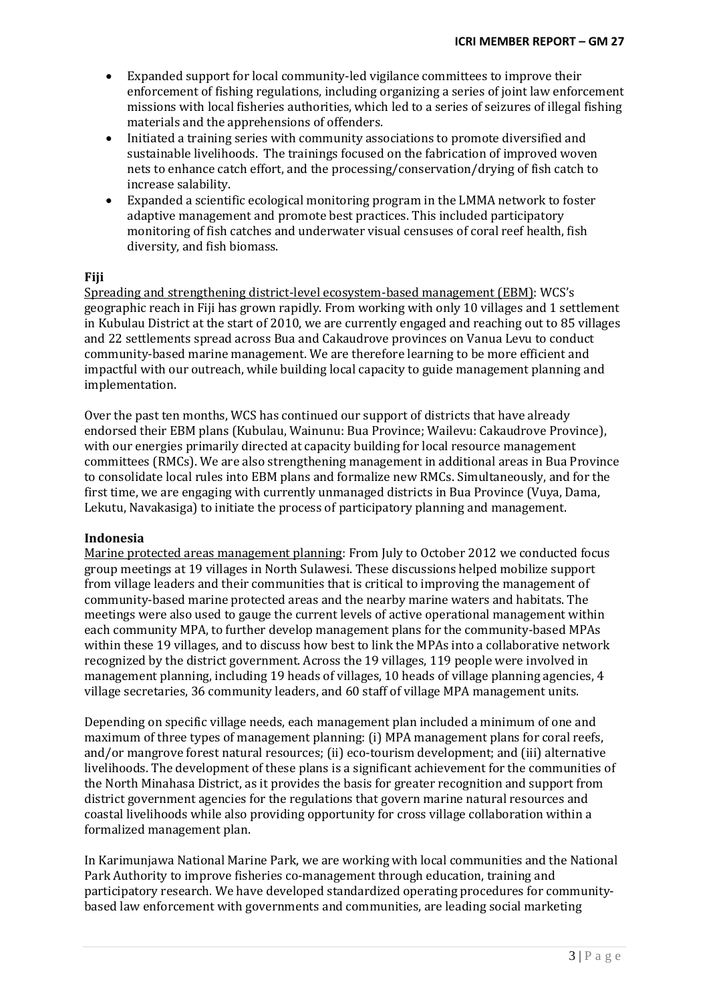- Expanded support for local community-led vigilance committees to improve their enforcement of fishing regulations, including organizing a series of joint law enforcement missions with local fisheries authorities, which led to a series of seizures of illegal fishing materials and the apprehensions of offenders.
- Initiated a training series with community associations to promote diversified and sustainable livelihoods. The trainings focused on the fabrication of improved woven nets to enhance catch effort, and the processing/conservation/drying of fish catch to increase salability.
- Expanded a scientific ecological monitoring program in the LMMA network to foster adaptive management and promote best practices. This included participatory monitoring of fish catches and underwater visual censuses of coral reef health, fish diversity, and fish biomass.

#### **Fiji**

Spreading and strengthening district-level ecosystem-based management (EBM): WCS's geographic reach in Fiji has grown rapidly. From working with only 10 villages and 1 settlement in Kubulau District at the start of 2010, we are currently engaged and reaching out to 85 villages and 22 settlements spread across Bua and Cakaudrove provinces on Vanua Levu to conduct community-based marine management. We are therefore learning to be more efficient and impactful with our outreach, while building local capacity to guide management planning and implementation.

Over the past ten months, WCS has continued our support of districts that have already endorsed their EBM plans (Kubulau, Wainunu: Bua Province; Wailevu: Cakaudrove Province), with our energies primarily directed at capacity building for local resource management committees (RMCs). We are also strengthening management in additional areas in Bua Province to consolidate local rules into EBM plans and formalize new RMCs. Simultaneously, and for the first time, we are engaging with currently unmanaged districts in Bua Province (Vuya, Dama, Lekutu, Navakasiga) to initiate the process of participatory planning and management.

#### **Indonesia**

Marine protected areas management planning: From July to October 2012 we conducted focus group meetings at 19 villages in North Sulawesi. These discussions helped mobilize support from village leaders and their communities that is critical to improving the management of community-based marine protected areas and the nearby marine waters and habitats. The meetings were also used to gauge the current levels of active operational management within each community MPA, to further develop management plans for the community-based MPAs within these 19 villages, and to discuss how best to link the MPAs into a collaborative network recognized by the district government. Across the 19 villages, 119 people were involved in management planning, including 19 heads of villages, 10 heads of village planning agencies, 4 village secretaries, 36 community leaders, and 60 staff of village MPA management units.

Depending on specific village needs, each management plan included a minimum of one and maximum of three types of management planning: (i) MPA management plans for coral reefs, and/or mangrove forest natural resources; (ii) eco-tourism development; and (iii) alternative livelihoods. The development of these plans is a significant achievement for the communities of the North Minahasa District, as it provides the basis for greater recognition and support from district government agencies for the regulations that govern marine natural resources and coastal livelihoods while also providing opportunity for cross village collaboration within a formalized management plan.

In Karimunjawa National Marine Park, we are working with local communities and the National Park Authority to improve fisheries co-management through education, training and participatory research. We have developed standardized operating procedures for communitybased law enforcement with governments and communities, are leading social marketing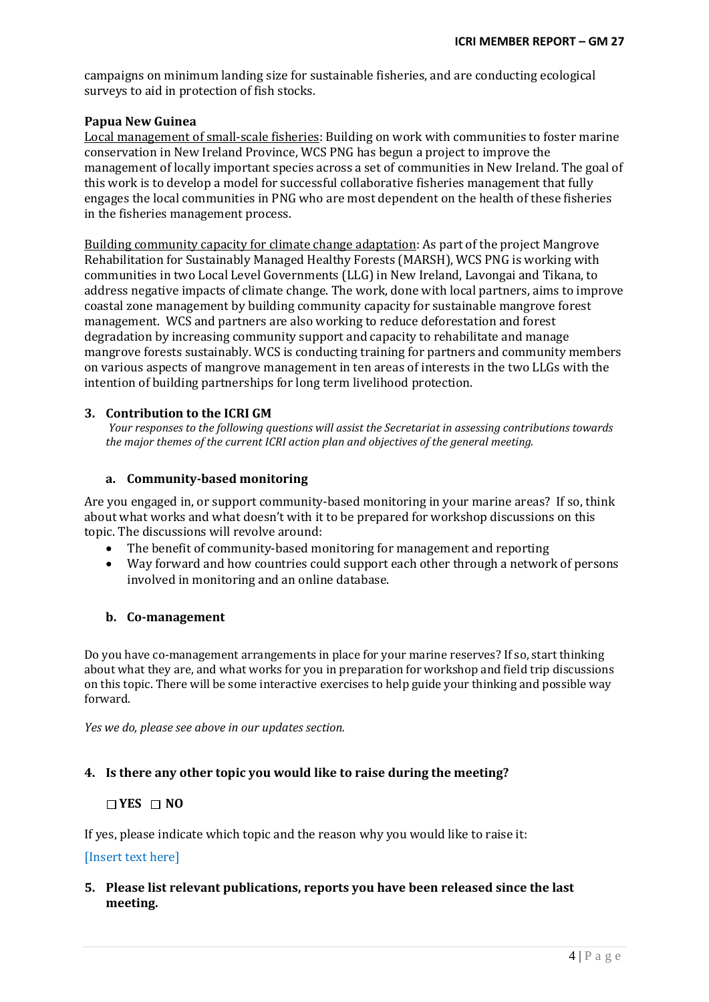campaigns on minimum landing size for sustainable fisheries, and are conducting ecological surveys to aid in protection of fish stocks.

#### **Papua New Guinea**

Local management of small-scale fisheries: Building on work with communities to foster marine conservation in New Ireland Province, WCS PNG has begun a project to improve the management of locally important species across a set of communities in New Ireland. The goal of this work is to develop a model for successful collaborative fisheries management that fully engages the local communities in PNG who are most dependent on the health of these fisheries in the fisheries management process.

Building community capacity for climate change adaptation: As part of the project Mangrove Rehabilitation for Sustainably Managed Healthy Forests (MARSH), WCS PNG is working with communities in two Local Level Governments (LLG) in New Ireland, Lavongai and Tikana, to address negative impacts of climate change. The work, done with local partners, aims to improve coastal zone management by building community capacity for sustainable mangrove forest management. WCS and partners are also working to reduce deforestation and forest degradation by increasing community support and capacity to rehabilitate and manage mangrove forests sustainably. WCS is conducting training for partners and community members on various aspects of mangrove management in ten areas of interests in the two LLGs with the intention of building partnerships for long term livelihood protection.

#### **3. Contribution to the ICRI GM**

*Your responses to the following questions will assist the Secretariat in assessing contributions towards the major themes of the current ICRI action plan and objectives of the general meeting.*

#### **a. Community-based monitoring**

Are you engaged in, or support community-based monitoring in your marine areas? If so, think about what works and what doesn't with it to be prepared for workshop discussions on this topic. The discussions will revolve around:

- The benefit of community-based monitoring for management and reporting
- Way forward and how countries could support each other through a network of persons involved in monitoring and an online database.

#### **b. Co-management**

Do you have co-management arrangements in place for your marine reserves? If so, start thinking about what they are, and what works for you in preparation for workshop and field trip discussions on this topic. There will be some interactive exercises to help guide your thinking and possible way forward.

*Yes we do, please see above in our updates section.* 

#### **4. Is there any other topic you would like to raise during the meeting?**

#### **YES NO**

If yes, please indicate which topic and the reason why you would like to raise it:

#### [Insert text here]

### **5. Please list relevant publications, reports you have been released since the last meeting.**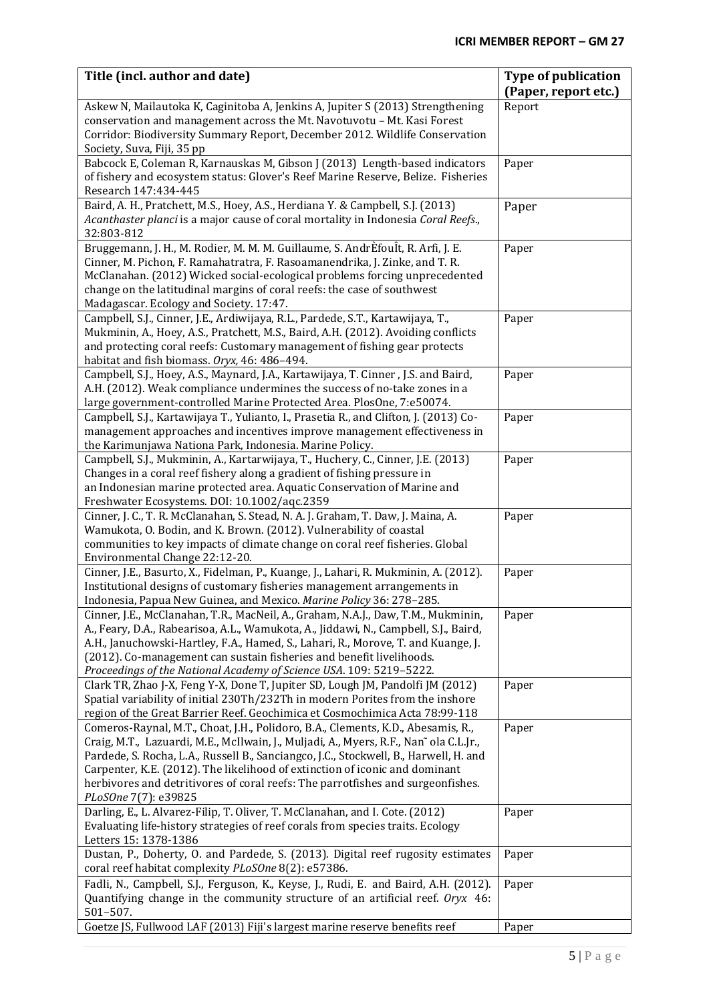| Title (incl. author and date)                                                                                                                                                                                                                                                                                                                                                                                                                                | <b>Type of publication</b><br>(Paper, report etc.) |
|--------------------------------------------------------------------------------------------------------------------------------------------------------------------------------------------------------------------------------------------------------------------------------------------------------------------------------------------------------------------------------------------------------------------------------------------------------------|----------------------------------------------------|
| Askew N, Mailautoka K, Caginitoba A, Jenkins A, Jupiter S (2013) Strengthening<br>conservation and management across the Mt. Navotuvotu - Mt. Kasi Forest<br>Corridor: Biodiversity Summary Report, December 2012. Wildlife Conservation<br>Society, Suva, Fiji, 35 pp                                                                                                                                                                                       | Report                                             |
| Babcock E, Coleman R, Karnauskas M, Gibson J (2013) Length-based indicators<br>of fishery and ecosystem status: Glover's Reef Marine Reserve, Belize. Fisheries<br>Research 147:434-445                                                                                                                                                                                                                                                                      | Paper                                              |
| Baird, A. H., Pratchett, M.S., Hoey, A.S., Herdiana Y. & Campbell, S.J. (2013)<br>Acanthaster planci is a major cause of coral mortality in Indonesia Coral Reefs.,<br>32:803-812                                                                                                                                                                                                                                                                            | Paper                                              |
| Bruggemann, J. H., M. Rodier, M. M. M. Guillaume, S. AndrÈfouÎt, R. Arfi, J. E.<br>Cinner, M. Pichon, F. Ramahatratra, F. Rasoamanendrika, J. Zinke, and T. R.<br>McClanahan. (2012) Wicked social-ecological problems forcing unprecedented<br>change on the latitudinal margins of coral reefs: the case of southwest<br>Madagascar. Ecology and Society. 17:47.                                                                                           | Paper                                              |
| Campbell, S.J., Cinner, J.E., Ardiwijaya, R.L., Pardede, S.T., Kartawijaya, T.,<br>Mukminin, A., Hoey, A.S., Pratchett, M.S., Baird, A.H. (2012). Avoiding conflicts<br>and protecting coral reefs: Customary management of fishing gear protects<br>habitat and fish biomass. Oryx, 46: 486-494.                                                                                                                                                            | Paper                                              |
| Campbell, S.J., Hoey, A.S., Maynard, J.A., Kartawijaya, T. Cinner, J.S. and Baird,<br>A.H. (2012). Weak compliance undermines the success of no-take zones in a<br>large government-controlled Marine Protected Area. PlosOne, 7:e50074.                                                                                                                                                                                                                     | Paper                                              |
| Campbell, S.J., Kartawijaya T., Yulianto, I., Prasetia R., and Clifton, J. (2013) Co-<br>management approaches and incentives improve management effectiveness in<br>the Karimunjawa Nationa Park, Indonesia. Marine Policy.                                                                                                                                                                                                                                 | Paper                                              |
| Campbell, S.J., Mukminin, A., Kartarwijaya, T., Huchery, C., Cinner, J.E. (2013)<br>Changes in a coral reef fishery along a gradient of fishing pressure in<br>an Indonesian marine protected area. Aquatic Conservation of Marine and<br>Freshwater Ecosystems. DOI: 10.1002/aqc.2359                                                                                                                                                                       | Paper                                              |
| Cinner, J. C., T. R. McClanahan, S. Stead, N. A. J. Graham, T. Daw, J. Maina, A.<br>Wamukota, O. Bodin, and K. Brown. (2012). Vulnerability of coastal<br>communities to key impacts of climate change on coral reef fisheries. Global<br>Environmental Change 22:12-20.                                                                                                                                                                                     | Paper                                              |
| Cinner, J.E., Basurto, X., Fidelman, P., Kuange, J., Lahari, R. Mukminin, A. (2012).<br>Institutional designs of customary fisheries management arrangements in<br>Indonesia, Papua New Guinea, and Mexico. Marine Policy 36: 278-285.                                                                                                                                                                                                                       | Paper                                              |
| Cinner, J.E., McClanahan, T.R., MacNeil, A., Graham, N.A.J., Daw, T.M., Mukminin,<br>A., Feary, D.A., Rabearisoa, A.L., Wamukota, A., Jiddawi, N., Campbell, S.J., Baird,<br>A.H., Januchowski-Hartley, F.A., Hamed, S., Lahari, R., Morove, T. and Kuange, J.<br>(2012). Co-management can sustain fisheries and benefit livelihoods.<br>Proceedings of the National Academy of Science USA. 109: 5219-5222.                                                | Paper                                              |
| Clark TR, Zhao J-X, Feng Y-X, Done T, Jupiter SD, Lough JM, Pandolfi JM (2012)<br>Spatial variability of initial 230Th/232Th in modern Porites from the inshore<br>region of the Great Barrier Reef. Geochimica et Cosmochimica Acta 78:99-118                                                                                                                                                                                                               | Paper                                              |
| Comeros-Raynal, M.T., Choat, J.H., Polidoro, B.A., Clements, K.D., Abesamis, R.,<br>Craig, M.T., Lazuardi, M.E., McIlwain, J., Muljadi, A., Myers, R.F., Nan~ola C.L.Jr.,<br>Pardede, S. Rocha, L.A., Russell B., Sanciangco, J.C., Stockwell, B., Harwell, H. and<br>Carpenter, K.E. (2012). The likelihood of extinction of iconic and dominant<br>herbivores and detritivores of coral reefs: The parrotfishes and surgeonfishes.<br>PLoSOne 7(7): e39825 | Paper                                              |
| Darling, E., L. Alvarez-Filip, T. Oliver, T. McClanahan, and I. Cote. (2012)<br>Evaluating life-history strategies of reef corals from species traits. Ecology<br>Letters 15: 1378-1386                                                                                                                                                                                                                                                                      | Paper                                              |
| Dustan, P., Doherty, O. and Pardede, S. (2013). Digital reef rugosity estimates<br>coral reef habitat complexity PLoSOne 8(2): e57386.                                                                                                                                                                                                                                                                                                                       | Paper                                              |
| Fadli, N., Campbell, S.J., Ferguson, K., Keyse, J., Rudi, E. and Baird, A.H. (2012).<br>Quantifying change in the community structure of an artificial reef. Oryx 46:<br>$501 - 507$ .                                                                                                                                                                                                                                                                       | Paper                                              |
| Goetze JS, Fullwood LAF (2013) Fiji's largest marine reserve benefits reef                                                                                                                                                                                                                                                                                                                                                                                   | Paper                                              |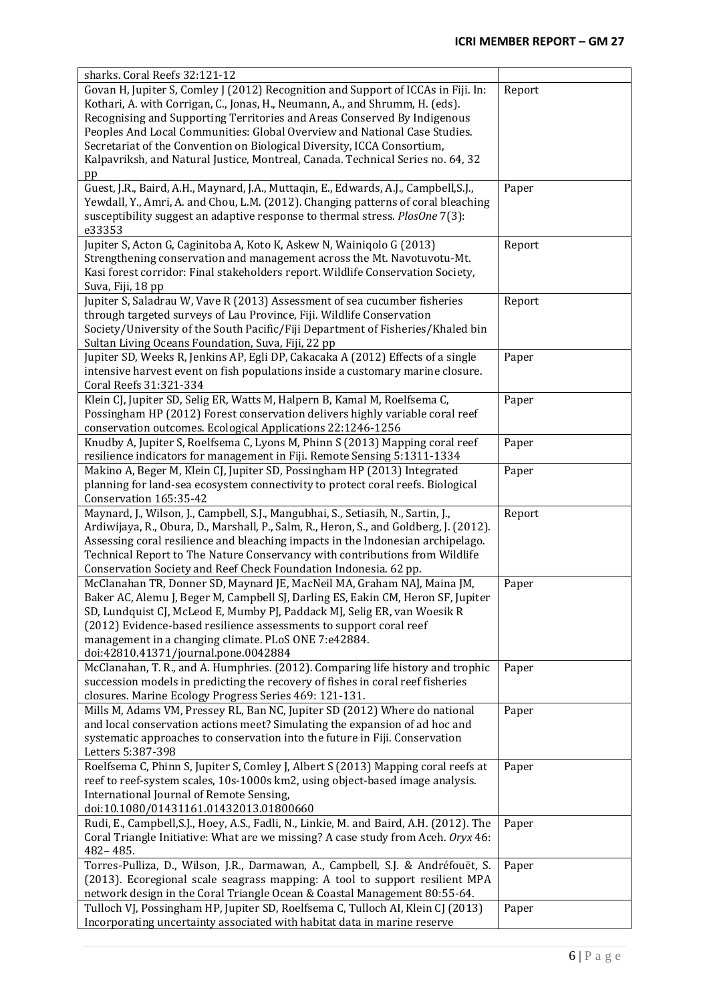| sharks. Coral Reefs 32:121-12                                                                                                                                                                                                                                                                                                                                                                                                                                                                  |        |
|------------------------------------------------------------------------------------------------------------------------------------------------------------------------------------------------------------------------------------------------------------------------------------------------------------------------------------------------------------------------------------------------------------------------------------------------------------------------------------------------|--------|
| Govan H, Jupiter S, Comley J (2012) Recognition and Support of ICCAs in Fiji. In:<br>Kothari, A. with Corrigan, C., Jonas, H., Neumann, A., and Shrumm, H. (eds).<br>Recognising and Supporting Territories and Areas Conserved By Indigenous<br>Peoples And Local Communities: Global Overview and National Case Studies.<br>Secretariat of the Convention on Biological Diversity, ICCA Consortium,<br>Kalpavriksh, and Natural Justice, Montreal, Canada. Technical Series no. 64, 32<br>pp | Report |
| Guest, J.R., Baird, A.H., Maynard, J.A., Muttaqin, E., Edwards, A.J., Campbell, S.J.,<br>Yewdall, Y., Amri, A. and Chou, L.M. (2012). Changing patterns of coral bleaching<br>susceptibility suggest an adaptive response to thermal stress. PlosOne 7(3):<br>e33353                                                                                                                                                                                                                           | Paper  |
| Jupiter S, Acton G, Caginitoba A, Koto K, Askew N, Wainiqolo G (2013)<br>Strengthening conservation and management across the Mt. Navotuvotu-Mt.<br>Kasi forest corridor: Final stakeholders report. Wildlife Conservation Society,<br>Suva, Fiji, 18 pp                                                                                                                                                                                                                                       | Report |
| Jupiter S, Saladrau W, Vave R (2013) Assessment of sea cucumber fisheries<br>through targeted surveys of Lau Province, Fiji. Wildlife Conservation<br>Society/University of the South Pacific/Fiji Department of Fisheries/Khaled bin<br>Sultan Living Oceans Foundation, Suva, Fiji, 22 pp                                                                                                                                                                                                    | Report |
| Jupiter SD, Weeks R, Jenkins AP, Egli DP, Cakacaka A (2012) Effects of a single<br>intensive harvest event on fish populations inside a customary marine closure.<br>Coral Reefs 31:321-334                                                                                                                                                                                                                                                                                                    | Paper  |
| Klein CJ, Jupiter SD, Selig ER, Watts M, Halpern B, Kamal M, Roelfsema C,<br>Possingham HP (2012) Forest conservation delivers highly variable coral reef<br>conservation outcomes. Ecological Applications 22:1246-1256                                                                                                                                                                                                                                                                       | Paper  |
| Knudby A, Jupiter S, Roelfsema C, Lyons M, Phinn S (2013) Mapping coral reef<br>resilience indicators for management in Fiji. Remote Sensing 5:1311-1334                                                                                                                                                                                                                                                                                                                                       | Paper  |
| Makino A, Beger M, Klein CJ, Jupiter SD, Possingham HP (2013) Integrated<br>planning for land-sea ecosystem connectivity to protect coral reefs. Biological<br>Conservation 165:35-42                                                                                                                                                                                                                                                                                                          | Paper  |
| Maynard, J., Wilson, J., Campbell, S.J., Mangubhai, S., Setiasih, N., Sartin, J.,<br>Ardiwijaya, R., Obura, D., Marshall, P., Salm, R., Heron, S., and Goldberg, J. (2012).<br>Assessing coral resilience and bleaching impacts in the Indonesian archipelago.<br>Technical Report to The Nature Conservancy with contributions from Wildlife<br>Conservation Society and Reef Check Foundation Indonesia. 62 pp.                                                                              | Report |
| McClanahan TR, Donner SD, Maynard JE, MacNeil MA, Graham NAJ, Maina JM,<br>Baker AC, Alemu J, Beger M, Campbell SJ, Darling ES, Eakin CM, Heron SF, Jupiter<br>SD, Lundquist CJ, McLeod E, Mumby PJ, Paddack MJ, Selig ER, van Woesik R<br>(2012) Evidence-based resilience assessments to support coral reef<br>management in a changing climate. PLoS ONE 7:e42884.<br>doi:42810.41371/journal.pone.0042884                                                                                  | Paper  |
| McClanahan, T. R., and A. Humphries. (2012). Comparing life history and trophic<br>succession models in predicting the recovery of fishes in coral reef fisheries<br>closures. Marine Ecology Progress Series 469: 121-131.                                                                                                                                                                                                                                                                    | Paper  |
| Mills M, Adams VM, Pressey RL, Ban NC, Jupiter SD (2012) Where do national<br>and local conservation actions meet? Simulating the expansion of ad hoc and<br>systematic approaches to conservation into the future in Fiji. Conservation<br>Letters 5:387-398                                                                                                                                                                                                                                  | Paper  |
| Roelfsema C, Phinn S, Jupiter S, Comley J, Albert S (2013) Mapping coral reefs at<br>reef to reef-system scales, 10s-1000s km2, using object-based image analysis.<br>International Journal of Remote Sensing,<br>doi:10.1080/01431161.01432013.01800660                                                                                                                                                                                                                                       | Paper  |
| Rudi, E., Campbell, S.J., Hoey, A.S., Fadli, N., Linkie, M. and Baird, A.H. (2012). The<br>Coral Triangle Initiative: What are we missing? A case study from Aceh. Oryx 46:<br>482-485.                                                                                                                                                                                                                                                                                                        | Paper  |
| Torres-Pulliza, D., Wilson, J.R., Darmawan, A., Campbell, S.J. & Andréfouët, S.<br>(2013). Ecoregional scale seagrass mapping: A tool to support resilient MPA<br>network design in the Coral Triangle Ocean & Coastal Management 80:55-64.                                                                                                                                                                                                                                                    | Paper  |
| Tulloch VJ, Possingham HP, Jupiter SD, Roelfsema C, Tulloch AI, Klein CJ (2013)<br>Incorporating uncertainty associated with habitat data in marine reserve                                                                                                                                                                                                                                                                                                                                    | Paper  |